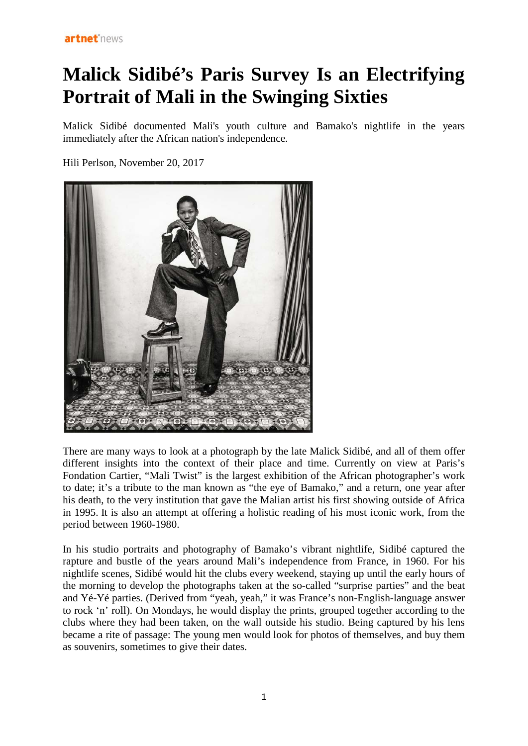## **Malick Sidibé's Paris Survey Is an Electrifying Portrait of Mali in the Swinging Sixties**

Malick Sidibé documented Mali's youth culture and Bamako's nightlife in the years immediately after the African nation's independence.

Hili Perlson, November 20, 2017



There are many ways to look at a photograph by the late Malick Sidibé, and all of them offer different insights into the context of their place and time. Currently on view at Paris's Fondation Cartier, "Mali Twist" is the largest exhibition of the African photographer's work to date; it's a tribute to the man known as "the eye of Bamako," and a return, one year after his death, to the very institution that gave the Malian artist his first showing outside of Africa in 1995. It is also an attempt at offering a holistic reading of his most iconic work, from the period between 1960-1980.

In his studio portraits and photography of Bamako's vibrant nightlife, Sidibé captured the rapture and bustle of the years around Mali's independence from France, in 1960. For his nightlife scenes, Sidibé would hit the clubs every weekend, staying up until the early hours of the morning to develop the photographs taken at the so-called "surprise parties" and the beat and Yé-Yé parties. (Derived from "yeah, yeah," it was France's non-English-language answer to rock 'n' roll). On Mondays, he would display the prints, grouped together according to the clubs where they had been taken, on the wall outside his studio. Being captured by his lens became a rite of passage: The young men would look for photos of themselves, and buy them as souvenirs, sometimes to give their dates.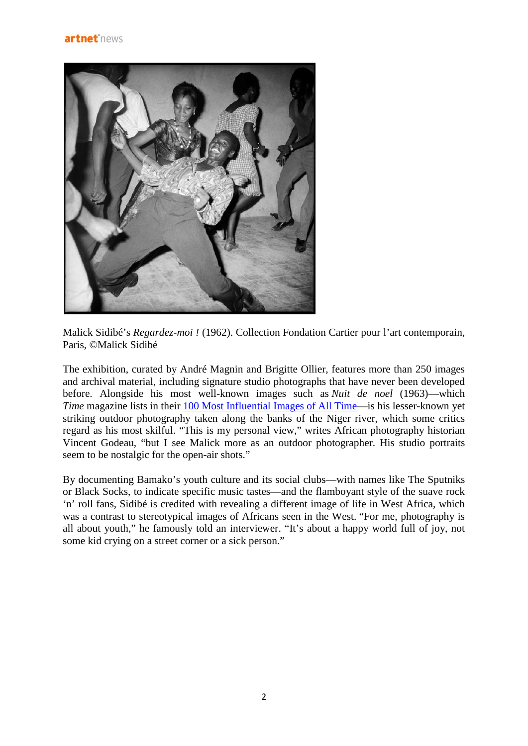

Malick Sidibé's *Regardez-moi !* (1962). Collection Fondation Cartier pour l'art contemporain, Paris, ©Malick Sidibé

The exhibition, curated by André Magnin and Brigitte Ollier, features more than 250 images and archival material, including signature studio photographs that have never been developed before. Alongside his most well-known images such as *Nuit de noel* (1963)—which *Time* magazine lists in their [100 Most Influential Images of All Time—](http://100photos.time.com/photos/malick-sidibe-nuit-de-noel-happy-club)is his lesser-known yet striking outdoor photography taken along the banks of the Niger river, which some critics regard as his most skilful. "This is my personal view," writes African photography historian Vincent Godeau, "but I see Malick more as an outdoor photographer. His studio portraits seem to be nostalgic for the open-air shots."

By documenting Bamako's youth culture and its social clubs—with names like The Sputniks or Black Socks, to indicate specific music tastes—and the flamboyant style of the suave rock 'n' roll fans, Sidibé is credited with revealing a different image of life in West Africa, which was a contrast to stereotypical images of Africans seen in the West. "For me, photography is all about youth," he famously told an interviewer. "It's about a happy world full of joy, not some kid crying on a street corner or a sick person."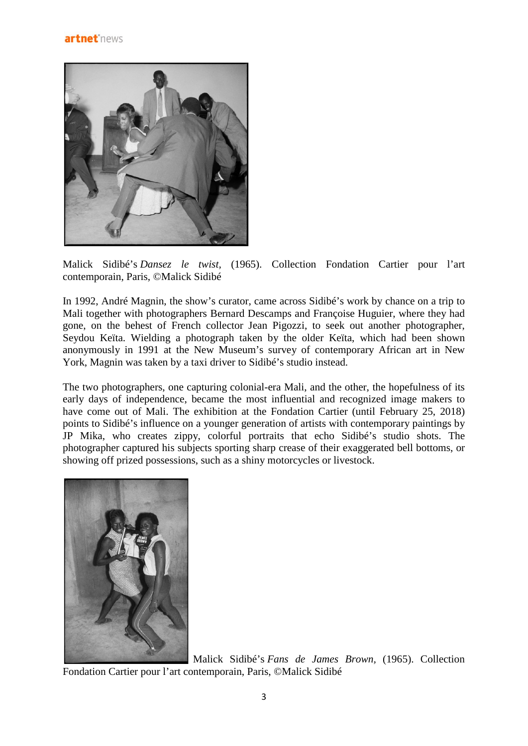

Malick Sidibé's *Dansez le twist,* (1965). Collection Fondation Cartier pour l'art contemporain, Paris, ©Malick Sidibé

In 1992, André Magnin, the show's curator, came across Sidibé's work by chance on a trip to Mali together with photographers Bernard Descamps and Françoise Huguier, where they had gone, on the behest of French collector Jean Pigozzi, to seek out another photographer, Seydou Keïta. Wielding a photograph taken by the older Keïta, which had been shown anonymously in 1991 at the New Museum's survey of contemporary African art in New York, Magnin was taken by a taxi driver to Sidibé's studio instead.

The two photographers, one capturing colonial-era Mali, and the other, the hopefulness of its early days of independence, became the most influential and recognized image makers to have come out of Mali. The exhibition at the Fondation Cartier (until February 25, 2018) points to Sidibé's influence on a younger generation of artists with contemporary paintings by JP Mika, who creates zippy, colorful portraits that echo Sidibé's studio shots. The photographer captured his subjects sporting sharp crease of their exaggerated bell bottoms, or showing off prized possessions, such as a shiny motorcycles or livestock.



Malick Sidibé's *Fans de James Brown,* (1965). Collection Fondation Cartier pour l'art contemporain, Paris, ©Malick Sidibé